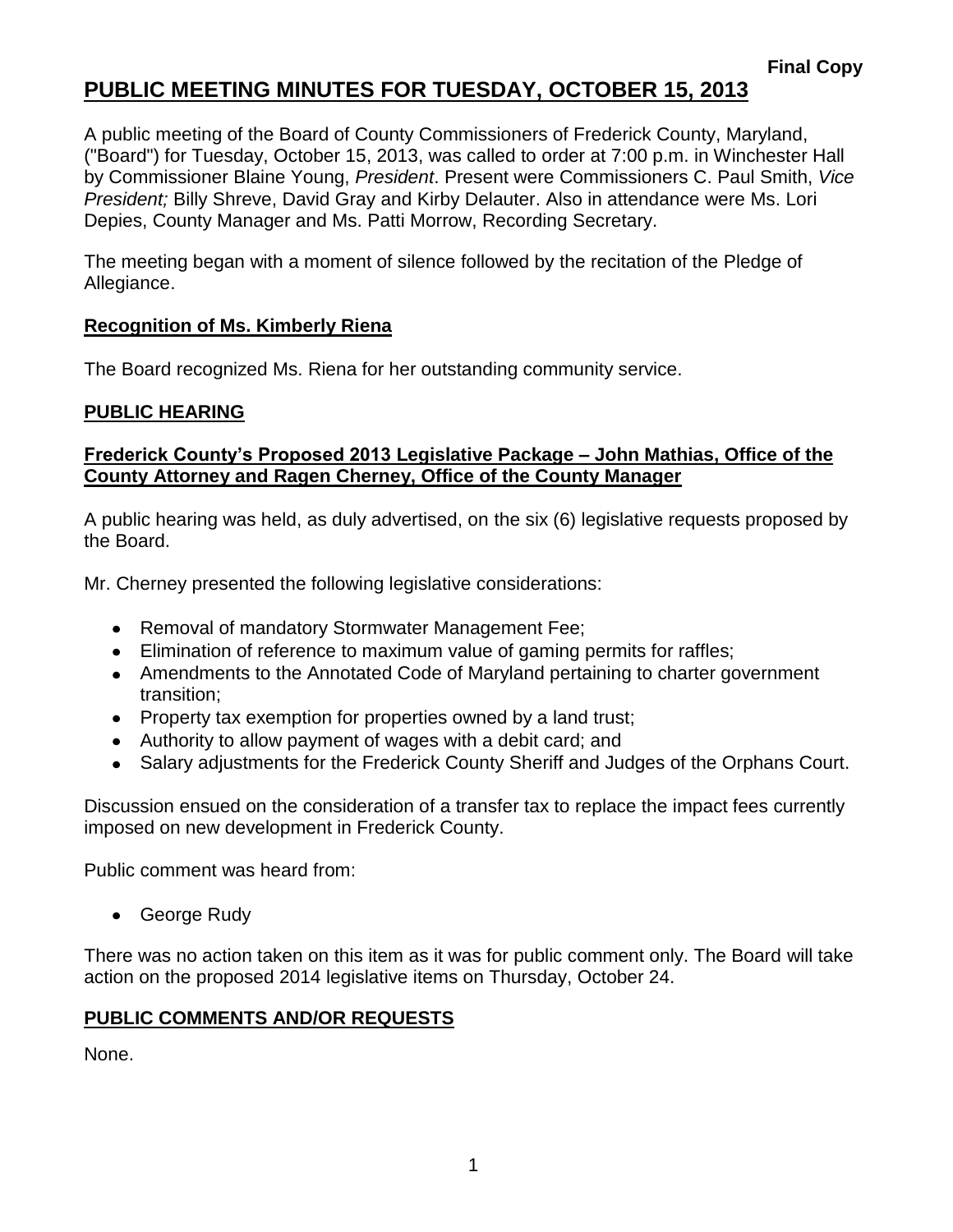# **PUBLIC MEETING MINUTES FOR TUESDAY, OCTOBER 15, 2013**

A public meeting of the Board of County Commissioners of Frederick County, Maryland, ("Board") for Tuesday, October 15, 2013, was called to order at 7:00 p.m. in Winchester Hall by Commissioner Blaine Young, *President*. Present were Commissioners C. Paul Smith, *Vice President;* Billy Shreve, David Gray and Kirby Delauter. Also in attendance were Ms. Lori Depies, County Manager and Ms. Patti Morrow, Recording Secretary.

The meeting began with a moment of silence followed by the recitation of the Pledge of Allegiance.

## **Recognition of Ms. Kimberly Riena**

The Board recognized Ms. Riena for her outstanding community service.

## **PUBLIC HEARING**

# **Frederick County's Proposed 2013 Legislative Package – John Mathias, Office of the County Attorney and Ragen Cherney, Office of the County Manager**

A public hearing was held, as duly advertised, on the six (6) legislative requests proposed by the Board.

Mr. Cherney presented the following legislative considerations:

- Removal of mandatory Stormwater Management Fee;
- Elimination of reference to maximum value of gaming permits for raffles;
- Amendments to the Annotated Code of Maryland pertaining to charter government transition;
- Property tax exemption for properties owned by a land trust;
- Authority to allow payment of wages with a debit card; and
- Salary adjustments for the Frederick County Sheriff and Judges of the Orphans Court.

Discussion ensued on the consideration of a transfer tax to replace the impact fees currently imposed on new development in Frederick County.

Public comment was heard from:

George Rudy

There was no action taken on this item as it was for public comment only. The Board will take action on the proposed 2014 legislative items on Thursday, October 24.

#### **PUBLIC COMMENTS AND/OR REQUESTS**

None.